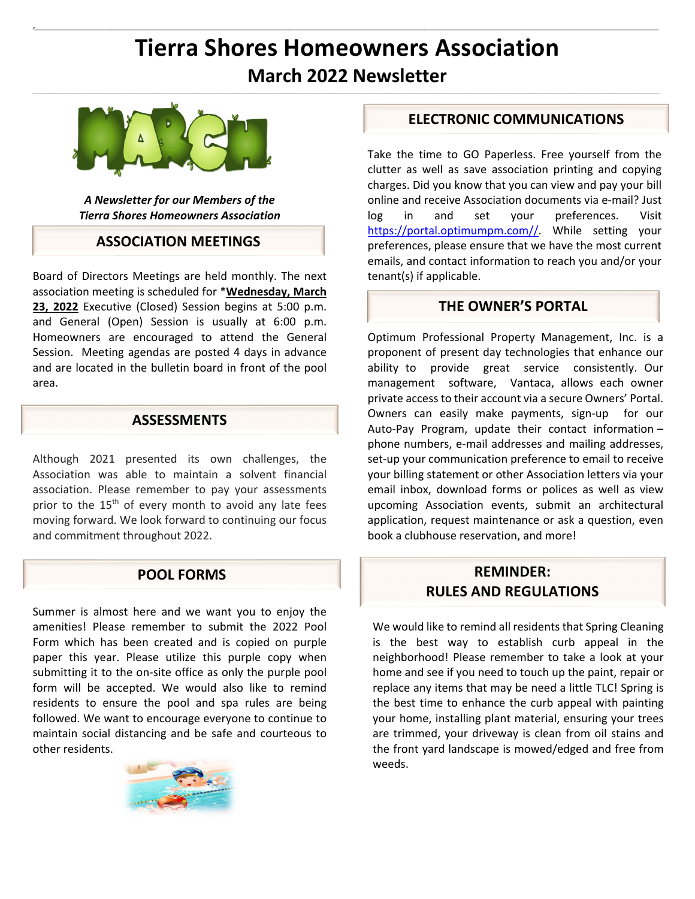# **Tierra Shores Homeowners Association March 2022 Newsletter**

 $\mathcal{L}_\text{u} = \mathcal{L}_\text{u} = \mathcal{L}_\text{u} = \mathcal{L}_\text{u} = \mathcal{L}_\text{u} = \mathcal{L}_\text{u} = \mathcal{L}_\text{u} = \mathcal{L}_\text{u} = \mathcal{L}_\text{u} = \mathcal{L}_\text{u} = \mathcal{L}_\text{u} = \mathcal{L}_\text{u} = \mathcal{L}_\text{u} = \mathcal{L}_\text{u} = \mathcal{L}_\text{u} = \mathcal{L}_\text{u} = \mathcal{L}_\text{u} = \mathcal{L}_\text{u} = \mathcal{$ 

ł.

 $\mathbf{r}$ 



*A Newsletter for our Members of the Tierra Shores Homeowners Association* 

#### **ASSOCIATION MEETINGS**

Board of Directors Meetings are held monthly. The next association meeting is scheduled for \***Wednesday, March 23, 2022** Executive (Closed) Session begins at 5:00 p.m. and General (Open) Session is usually at 6:00 p.m. Homeowners are encouraged to attend the General Session. Meeting agendas are posted 4 days in advance and are located in the bulletin board in front of the pool area.

#### **ASSESSMENTS**

Although 2021 presented its own challenges, the Association was able to maintain a solvent financial association. Please remember to pay your assessments prior to the 15<sup>th</sup> of every month to avoid any late fees moving forward. We look forward to continuing our focus and commitment throughout 2022.

#### **POOL FORMS**

Summer is almost here and we want you to enjoy the amenities! Please remember to submit the 2022 Pool Form which has been created and is copied on purple paper this year. Please utilize this purple copy when submitting it to the on-site office as only the purple pool form will be accepted. We would also like to remind residents to ensure the pool and spa rules are being followed. We want to encourage everyone to continue to maintain social distancing and be safe and courteous to other residents.



#### **ELECTRONIC COMMUNICATIONS**

Take the time to GO Paperless. Free yourself from the clutter as well as save association printing and copying charges. Did you know that you can view and pay your bill online and receive Association documents via e‐mail? Just log in and set your preferences. Visit https://portal.optimumpm.com//. While setting your preferences, please ensure that we have the most current emails, and contact information to reach you and/or your tenant(s) if applicable.

#### **THE OWNER'S PORTAL**

Optimum Professional Property Management, Inc. is a proponent of present day technologies that enhance our ability to provide great service consistently. Our management software, Vantaca, allows each owner private access to their account via a secure Owners' Portal. Owners can easily make payments, sign-up for our Auto‐Pay Program, update their contact information – phone numbers, e‐mail addresses and mailing addresses, set-up your communication preference to email to receive your billing statement or other Association letters via your email inbox, download forms or polices as well as view upcoming Association events, submit an architectural application, request maintenance or ask a question, even book a clubhouse reservation, and more!

### **REMINDER: RULES AND REGULATIONS**

We would like to remind all residents that Spring Cleaning is the best way to establish curb appeal in the neighborhood! Please remember to take a look at your home and see if you need to touch up the paint, repair or replace any items that may be need a little TLC! Spring is the best time to enhance the curb appeal with painting your home, installing plant material, ensuring your trees are trimmed, your driveway is clean from oil stains and the front yard landscape is mowed/edged and free from weeds.